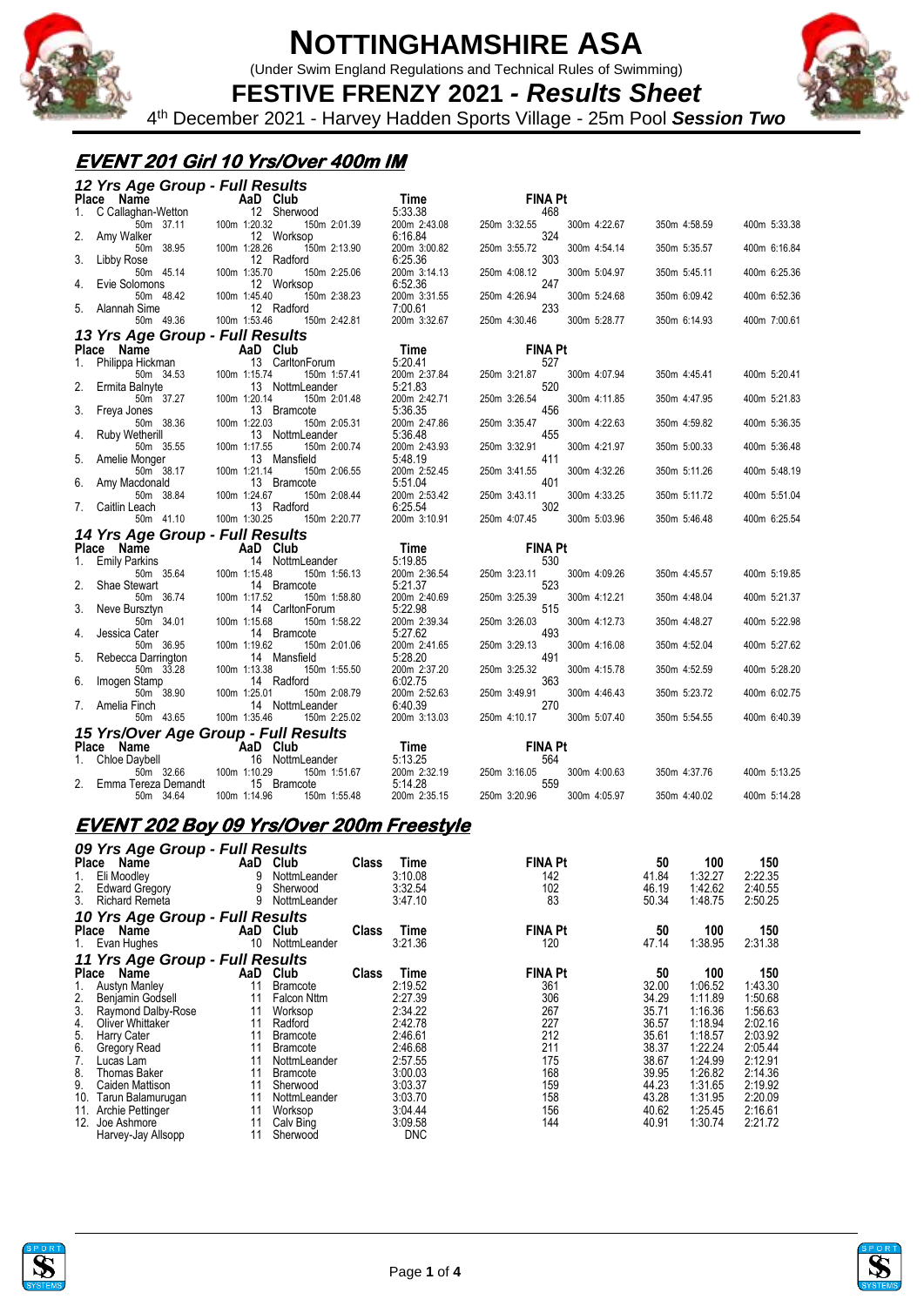

(Under Swim England Regulations and Technical Rules of Swimming)



**FESTIVE FRENZY 2021** *- Results Sheet* 4 th December 2021 - Harvey Hadden Sports Village - 25m Pool *Session Two*

#### **EVENT 201 Girl 10 Yrs/Over 400m IM**

|    | 12 Yrs Age Group - Full Results  |                                                 |                         |                                     |              |              |
|----|----------------------------------|-------------------------------------------------|-------------------------|-------------------------------------|--------------|--------------|
|    | Place Name                       | AaD Club                                        | Time                    | <b>FINA Pt</b>                      |              |              |
|    | C Callaghan-Wetton               | 12 Sherwood                                     | 5:33.38                 | 468                                 |              |              |
|    | 50m 37.11                        | 100m 1:20.32<br>150m 2:01.39                    | 200m 2:43.08            | 250m 3:32.55<br>300m 4:22.67        | 350m 4:58.59 | 400m 5:33.38 |
| 2. | Amy Walker                       | 12 Worksop                                      | 6:16.84                 | 324                                 |              |              |
|    | 50m 38.95                        | 100m 1:28.26<br>150m 2:13.90                    | 200m 3:00.82            | 300m 4:54.14<br>250m 3:55.72        | 350m 5:35.57 | 400m 6:16.84 |
| 3. | Libby Rose                       | 12 Radford                                      | 6:25.36                 | 303                                 |              |              |
|    | 50m 45.14                        | 150m 2:25.06<br>100m 1:35.70                    | 200m 3:14.13            | 250m 4:08.12<br>300m 5:04.97        | 350m 5:45.11 | 400m 6:25.36 |
| 4. | Evie Solomons                    | 12 Worksop                                      | 6:52.36                 | 247                                 |              |              |
| 5. | 50m 48.42<br>Alannah Sime        | 100m 1:45.40<br>150m 2:38.23<br>12 Radford      | 200m 3:31.55<br>7:00.61 | 250m 4:26.94<br>300m 5:24.68<br>233 | 350m 6:09.42 | 400m 6:52.36 |
|    | 50m 49.36                        | 100m 1:53.46<br>150m 2:42.81                    | 200m 3:32.67            | 250m 4:30.46<br>300m 5:28.77        | 350m 6:14.93 | 400m 7:00.61 |
|    |                                  |                                                 |                         |                                     |              |              |
|    | 13 Yrs Age Group - Full Results  |                                                 |                         |                                     |              |              |
|    | Place Name                       | AaD Club                                        | Time<br>5:20.41         | <b>FINA Pt</b>                      |              |              |
| 1. | Philippa Hickman<br>50m 34.53    | 13 CarltonForum<br>100m 1:15.74<br>150m 1:57.41 | 200m 2:37.84            | 527<br>300m 4:07.94<br>250m 3:21.87 | 350m 4:45.41 | 400m 5:20.41 |
| 2. | Ermita Balnyte                   | 13 NottmLeander                                 | 5:21.83                 | 520                                 |              |              |
|    | 50m 37.27                        | 100m 1:20.14<br>150m 2:01.48                    | 200m 2:42.71            | 250m 3:26.54<br>300m 4:11.85        | 350m 4:47.95 | 400m 5:21.83 |
| 3. | Freya Jones                      | 13 Bramcote                                     | 5:36.35                 | 456                                 |              |              |
|    | 50m 38.36                        | 100m 1:22.03<br>150m 2:05.31                    | 200m 2:47.86            | 250m 3:35.47<br>300m 4:22.63        | 350m 4:59.82 | 400m 5:36.35 |
| 4. | <b>Ruby Wetherill</b>            | 13 NottmLeander                                 | 5:36.48                 | 455                                 |              |              |
|    | 50m 35.55                        | 100m 1:17.55<br>150m 2:00.74                    | 200m 2:43.93            | 300m 4:21.97<br>250m 3:32.91        | 350m 5:00.33 | 400m 5:36.48 |
| 5. | Amelie Monger                    | 13 Mansfield                                    | 5:48.19                 | 411                                 |              |              |
|    | 50m 38.17                        | 100m 1:21.14<br>150m 2:06.55                    | 200m 2:52.45            | 250m 3:41.55<br>300m 4:32.26        | 350m 5:11.26 | 400m 5:48.19 |
| 6. | Amy Macdonald                    | 13 Bramcote                                     | 5:51.04                 | 401                                 |              |              |
|    | 50m 38.84                        | 100m 1:24.67<br>150m 2:08.44                    | 200m 2:53.42            | 300m 4:33.25<br>250m 3:43.11        | 350m 5:11.72 | 400m 5:51.04 |
| 7. | Caitlin Leach<br>50m 41.10       | 13 Radford<br>100m 1:30.25<br>150m 2:20.77      | 6:25.54                 | 302<br>250m 4:07.45<br>300m 5:03.96 |              | 400m 6:25.54 |
|    |                                  |                                                 | 200m 3:10.91            |                                     | 350m 5:46.48 |              |
|    | 14 Yrs Age Group - Full Results  |                                                 |                         |                                     |              |              |
|    | Place Name                       | AaD Club                                        | Time                    | <b>FINA Pt</b>                      |              |              |
|    | <b>Emily Parkins</b>             | 14 NottmLeander                                 | 5:19.85                 | 530                                 |              |              |
| 2. | 50m 35.64<br>Shae Stewart        | 100m 1:15.48<br>150m 1:56.13<br>14 Bramcote     | 200m 2:36.54<br>5:21.37 | 300m 4:09.26<br>250m 3:23.11<br>523 | 350m 4:45.57 | 400m 5:19.85 |
|    | 50m 36.74                        | 100m 1:17.52<br>150m 1:58.80                    | 200m 2:40.69            | 250m 3:25.39<br>300m 4:12.21        | 350m 4:48.04 | 400m 5:21.37 |
| 3. | Neve Bursztyn                    | 14 CarltonForum                                 | 5:22.98                 | 515                                 |              |              |
|    | 50m 34.01                        | 100m 1:15.68<br>150m 1:58.22                    | 200m 2:39.34            | 250m 3:26.03<br>300m 4:12.73        | 350m 4:48.27 | 400m 5:22.98 |
| 4. | Jessica Cater                    | 14 Bramcote                                     | 5:27.62                 | 493                                 |              |              |
|    | 50m 36.95                        | 100m 1:19.62<br>150m 2:01.06                    | 200m 2:41.65            | 250m 3:29.13<br>300m 4:16.08        | 350m 4:52.04 | 400m 5:27.62 |
| 5. | Rebecca Darrington               | 14 Mansfield                                    | 5:28.20                 | 491                                 |              |              |
|    | 50m 33.28                        | 100m 1:13.38<br>150m 1:55.50                    | 200m 2:37.20            | 250m 3:25.32<br>300m 4:15.78        | 350m 4:52.59 | 400m 5:28.20 |
| 6. | Imogen Stamp                     | 14 Radford                                      | 6:02.75                 | 363                                 |              |              |
|    | 50m 38.90                        | 100m 1:25.01<br>150m 2:08.79                    | 200m 2:52.63            | 250m 3:49.91<br>300m 4:46.43        | 350m 5:23.72 | 400m 6:02.75 |
| 7. | Amelia Finch                     | 14 NottmLeander                                 | 6:40.39                 | 270                                 |              |              |
|    | 50m 43.65                        | 100m 1:35.46<br>150m 2:25.02                    | 200m 3:13.03            | 250m 4:10.17<br>300m 5:07.40        | 350m 5:54.55 | 400m 6:40.39 |
|    |                                  | 15 Yrs/Over Age Group - Full Results            |                         |                                     |              |              |
|    | Place Name                       | AaD Club                                        | Time                    | <b>FINA Pt</b>                      |              |              |
|    | Chloe Daybell                    | 16 NottmLeander                                 | 5:13.25                 | 564                                 |              |              |
|    | 50m 32.66                        | 100m 1:10.29<br>150m 1:51.67                    | 200m 2:32.19            | 300m 4:00.63<br>250m 3:16.05<br>559 | 350m 4:37.76 | 400m 5:13.25 |
|    | Emma Tereza Demandt<br>50m 34.64 | 15 Bramcote<br>100m 1:14.96<br>150m 1:55.48     | 5:14.28<br>200m 2:35.15 | 250m 3:20.96<br>300m 4:05.97        | 350m 4:40.02 | 400m 5:14.28 |
|    |                                  |                                                 |                         |                                     |              |              |

#### **EVENT 202 Boy 09 Yrs/Over 200m Freestyle**

|                                       | 09 Yrs Age Group - Full Results                                       |                    |                                                  |              |                                       |                                    |                               |                                      |                                      |
|---------------------------------------|-----------------------------------------------------------------------|--------------------|--------------------------------------------------|--------------|---------------------------------------|------------------------------------|-------------------------------|--------------------------------------|--------------------------------------|
| Place<br>1.<br>2.<br>3.               | Name<br>Eli Moodley<br><b>Edward Gregory</b><br><b>Richard Remeta</b> | AaD<br>9<br>9<br>9 | Club<br>NottmLeander<br>Sherwood<br>NottmLeander | <b>Class</b> | Time<br>3:10.08<br>3:32.54<br>3:47.10 | <b>FINA Pt</b><br>142<br>102<br>83 | 50<br>41.84<br>46.19<br>50.34 | 100<br>1:32.27<br>1:42.62<br>1:48.75 | 150<br>2:22.35<br>2:40.55<br>2:50.25 |
|                                       | 10 Yrs Age Group - Full Results                                       |                    |                                                  |              |                                       |                                    |                               |                                      |                                      |
| Place                                 | Name<br>1. Evan Hughes                                                | AaD<br>10          | Club<br>NottmLeander                             | Class        | Time<br>3:21.36                       | <b>FINA Pt</b><br>120              | 50<br>47.14                   | 100<br>1:38.95                       | 150<br>2:31.38                       |
|                                       | 11 Yrs Age Group - Full Results                                       |                    |                                                  |              |                                       |                                    |                               |                                      |                                      |
| Place                                 | Name                                                                  | AaD                | Club                                             | <b>Class</b> | Time                                  | <b>FINA Pt</b>                     | 50                            | 100                                  | 150                                  |
|                                       | <b>Austyn Manley</b>                                                  | 11                 | Bramcote                                         |              | 2:19.52                               | 361                                | 32.00                         | 1:06.52                              | 1:43.30                              |
| 2.                                    | Benjamin Godsell                                                      | 11                 | <b>Falcon Nttm</b>                               |              | 2:27.39                               | 306                                | 34.29                         | 1:11.89                              | 1:50.68                              |
| 3.                                    | Raymond Dalby-Rose                                                    | 11                 | Worksop                                          |              | 2:34.22                               | 267                                | 35.71                         | 1:16.36                              | 1:56.63                              |
| 4.                                    | Oliver Whittaker                                                      | 11                 | Radford                                          |              | 2:42.78                               | 227                                | 36.57                         | 1:18.94                              | 2:02.16                              |
| $\begin{array}{c} 5 \\ 6 \end{array}$ | Harry Cater                                                           | 11                 | <b>Bramcote</b>                                  |              | 2:46.61                               | 212                                | 35.61                         | 1:18.57                              | 2:03.92                              |
|                                       | Gregory Read                                                          | 11                 | Bramcote                                         |              | 2:46.68                               | 211                                | 38.37                         | 1:22.24                              | 2:05.44                              |
| 7.                                    | Lucas Lam                                                             | 11                 | NottmLeander                                     |              | 2:57.55                               | 175                                | 38.67                         | 1:24.99                              | 2:12.91                              |
| 8.                                    | <b>Thomas Baker</b>                                                   | 11                 | <b>Bramcote</b>                                  |              | 3:00.03                               | 168                                | 39.95                         | 1:26.82                              | 2:14.36                              |
| 9.                                    | Caiden Mattison                                                       | 11                 | Sherwood                                         |              | 3:03.37                               | 159                                | 44.23                         | 1:31.65                              | 2:19.92                              |
| 10.                                   | Tarun Balamurugan                                                     | 11                 | NottmLeander                                     |              | 3:03.70                               | 158                                | 43.28                         | 1:31.95                              | 2:20.09                              |
|                                       | 11. Archie Pettinger                                                  | 11                 | Worksop                                          |              | 3:04.44                               | 156                                | 40.62                         | 1:25.45                              | 2:16.61                              |
| 12.                                   | Joe Ashmore                                                           | 11                 | Calv Bing                                        |              | 3:09.58                               | 144                                | 40.91                         | 1:30.74                              | 2:21.72                              |
|                                       | Harvey-Jay Allsopp                                                    | 11                 | Sherwood                                         |              | <b>DNC</b>                            |                                    |                               |                                      |                                      |



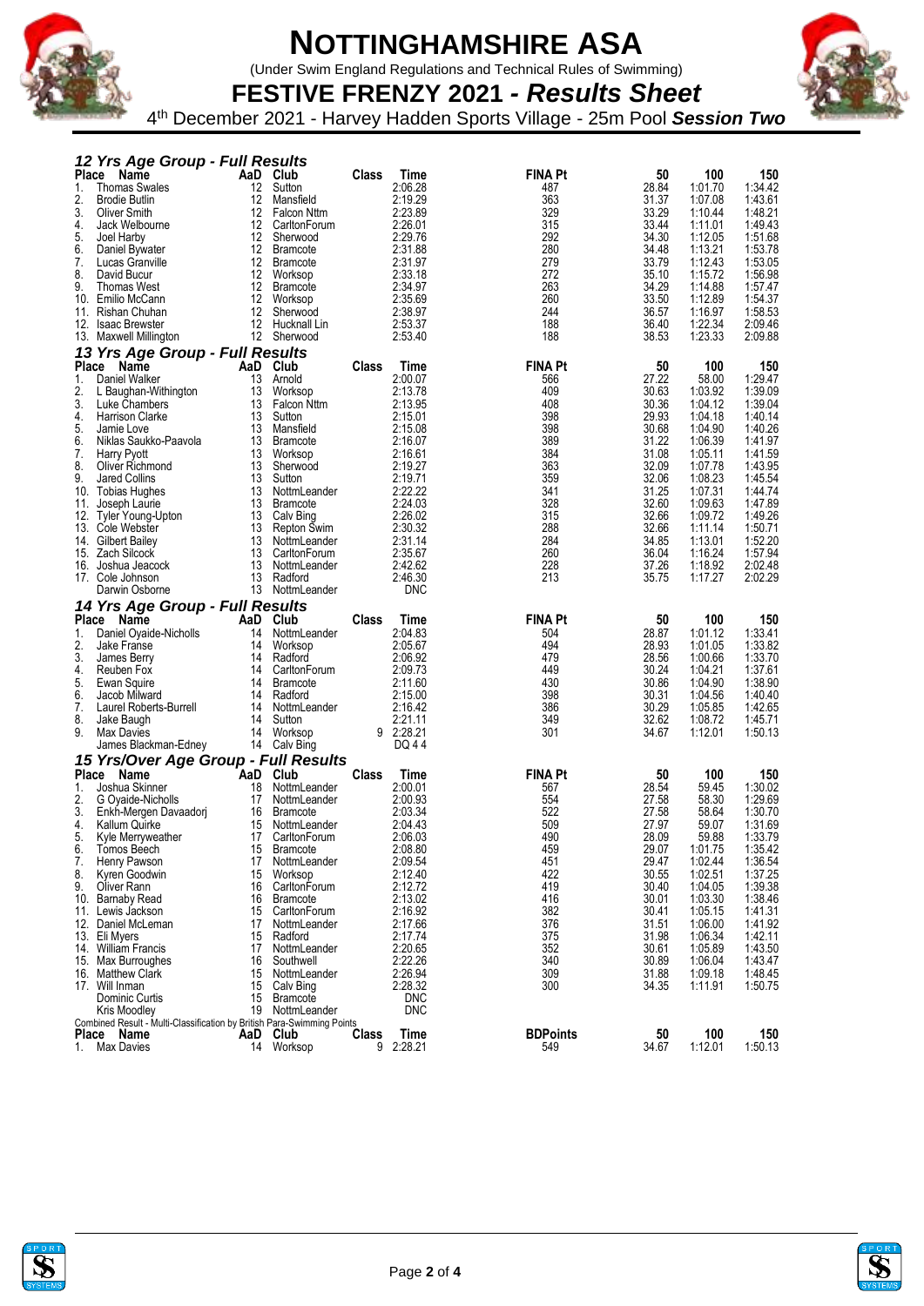

(Under Swim England Regulations and Technical Rules of Swimming)



**FESTIVE FRENZY 2021** *- Results Sheet* 4 th December 2021 - Harvey Hadden Sports Village - 25m Pool *Session Two*

|              | 12 Yrs Age Group - Full Results                                        |          |                                    |       |                       |                        |                |                    |                    |
|--------------|------------------------------------------------------------------------|----------|------------------------------------|-------|-----------------------|------------------------|----------------|--------------------|--------------------|
| <b>Place</b> | Name                                                                   | AaD Club |                                    | Class | Time                  | <b>FINA Pt</b>         | 50             | 100                | 150                |
| 1.           | <b>Thomas Swales</b>                                                   | 12       | Sutton                             |       | 2:06.28               | 487                    | 28.84          | 1:01.70            | 1:34.42            |
| 2.<br>3.     | <b>Brodie Butlin</b>                                                   | 12<br>12 | Mansfield                          |       | 2:19.29<br>2:23.89    | 363<br>329             | 31.37          | 1:07.08<br>1:10.44 | 1:43.61            |
| 4.           | Oliver Smith<br>Jack Welbourne                                         | 12       | <b>Falcon Nttm</b><br>CarltonForum |       | 2:26.01               | 315                    | 33.29<br>33.44 | 1:11.01            | 1:48.21<br>1:49.43 |
| 5.           | Joel Harby                                                             | 12       | Sherwood                           |       | 2:29.76               | 292                    | 34.30          | 1:12.05            | 1:51.68            |
| 6.           | Daniel Bywater                                                         |          | 12 Bramcote                        |       | 2:31.88               | 280                    | 34.48          | 1:13.21            | 1:53.78            |
| 7.           | Lucas Granville                                                        |          | 12 Bramcote                        |       | 2:31.97               | 279                    | 33.79          | 1:12.43            | 1:53.05            |
| 8.           | David Bucur                                                            |          | 12 Worksop                         |       | 2:33.18               | 272                    | 35.10          | 1:15.72            | 1:56.98            |
| 9.           | Thomas West                                                            | 12       | <b>Bramcote</b>                    |       | 2:34.97               | 263                    | 34.29          | 1:14.88            | 1:57.47            |
| 10.          | Emilio McCann                                                          |          | 12 Worksop                         |       | 2:35.69               | 260                    | 33.50          | 1:12.89            | 1:54.37            |
| 11.          | Rishan Chuhan                                                          |          | 12 Sherwood                        |       | 2:38.97               | 244                    | 36.57          | 1:16.97            | 1:58.53            |
|              | 12. Isaac Brewster                                                     |          | 12 Hucknall Lin                    |       | 2:53.37               | 188                    | 36.40          | 1:22.34            | 2:09.46            |
|              | 13. Maxwell Millington                                                 |          | 12 Sherwood                        |       | 2:53.40               | 188                    | 38.53          | 1:23.33            | 2:09.88            |
|              | 13 Yrs Age Group - Full Results                                        |          |                                    |       |                       |                        |                |                    |                    |
|              | Place Name                                                             | AaD Club |                                    | Class | Time                  | <b>FINA Pt</b>         | 50             | 100                | 150<br>1:29.47     |
| 1.<br>2.     | Daniel Walker<br>L Baughan-Withington                                  | 13<br>13 | Arnold<br>Worksop                  |       | 2:00.07<br>2:13.78    | 566<br>409             | 27.22<br>30.63 | 58.00<br>1:03.92   | 1:39.09            |
| 3.           | Luke Chambers                                                          |          | 13 Falcon Nttm                     |       | 2:13.95               | 408                    | 30.36          | 1:04.12            | 1:39.04            |
| 4.           | Harrison Clarke                                                        | 13       | Sutton                             |       | 2:15.01               | 398                    | 29.93          | 1:04.18            | 1:40.14            |
| 5.           | Jamie Love                                                             | 13       | Mansfield                          |       | 2:15.08               | 398                    | 30.68          | 1:04.90            | 1:40.26            |
| 6.           | Niklas Saukko-Paavola                                                  | 13       | <b>Bramcote</b>                    |       | 2:16.07               | 389                    | 31.22          | 1:06.39            | 1:41.97            |
| 7.           | Harry Pyott                                                            | 13       | Worksop                            |       | 2:16.61               | 384                    | 31.08          | 1:05.11            | 1:41.59            |
| 8.           | Oliver Richmond                                                        | 13       | Sherwood                           |       | 2:19.27               | 363                    | 32.09          | 1:07.78            | 1:43.95            |
| 9.           | Jared Collins                                                          | 13       | Sutton                             |       | 2:19.71               | 359                    | 32.06          | 1:08.23            | 1:45.54            |
| 10.          | Tobias Hughes                                                          | 13       | NottmLeander                       |       | 2:22.22               | 341                    | 31.25          | 1:07.31            | 1:44.74            |
| 11.          | Joseph Laurie                                                          | 13       | <b>Bramcote</b>                    |       | 2:24.03               | 328                    | 32.60          | 1:09.63            | 1:47.89            |
| 12.<br>13.   | Tyler Young-Upton<br>Cole Webster                                      | 13<br>13 | Calv Bing<br>Repton Swim           |       | 2:26.02<br>2:30.32    | 315<br>288             | 32.66<br>32.66 | 1:09.72<br>1:11.14 | 1:49.26<br>1:50.71 |
|              | 14. Gilbert Bailey                                                     | 13       | NottmLeander                       |       | 2:31.14               | 284                    | 34.85          | 1:13.01            | 1:52.20            |
| 15.          | Zach Silcock                                                           | 13       | CarltonForum                       |       | 2:35.67               | 260                    | 36.04          | 1:16.24            | 1:57.94            |
| 16.          | Joshua Jeacock                                                         | 13       | NottmLeander                       |       | 2:42.62               | 228                    | 37.26          | 1:18.92            | 2:02.48            |
|              | 17. Cole Johnson                                                       | 13       | Radford                            |       | 2:46.30               | 213                    | 35.75          | 1:17.27            | 2:02.29            |
|              | Darwin Osborne                                                         |          | 13 NottmLeander                    |       | <b>DNC</b>            |                        |                |                    |                    |
|              |                                                                        |          |                                    |       |                       |                        |                |                    |                    |
|              |                                                                        |          |                                    |       |                       |                        |                |                    |                    |
| <b>Place</b> | 14 Yrs Age Group - Full Results<br>Name                                | AaD      | Club                               | Class | Time                  | <b>FINA Pt</b>         | 50             | 100                | 150                |
| 1.           | Daniel Oyaide-Nicholls                                                 | 14       | NottmLeander                       |       | 2:04.83               | 504                    | 28.87          | 1:01.12            | 1:33.41            |
| 2.           | Jake Franse                                                            | 14       | Worksop                            |       | 2:05.67               | 494                    | 28.93          | 1:01.05            | 1:33.82            |
| 3.           | James Berry                                                            | 14       | Radford                            |       | 2:06.92               | 479                    | 28.56          | 1:00.66            | 1:33.70            |
| 4.           | Reuben Fox                                                             | 14       | CarltonForum                       |       | 2:09.73               | 449                    | 30.24          | 1:04.21            | 1:37.61            |
| 5.           | Ewan Squire                                                            | 14       | <b>Bramcote</b>                    |       | 2:11.60               | 430                    | 30.86          | 1:04.90            | 1:38.90            |
| 6.           | Jacob Milward                                                          | 14       | Radford                            |       | 2:15.00               | 398                    | 30.31          | 1:04.56            | 1:40.40            |
| 7.<br>8.     | Laurel Roberts-Burrell<br>Jake Baugh                                   | 14<br>14 | NottmLeander<br>Sutton             |       | 2:16.42<br>2:21.11    | 386<br>349             | 30.29<br>32.62 | 1:05.85<br>1:08.72 | 1:42.65<br>1:45.71 |
| 9.           | Max Davies                                                             | 14       | Worksop                            |       | 9 2:28.21             | 301                    | 34.67          | 1:12.01            | 1:50.13            |
|              | James Blackman-Edney                                                   |          | 14 Calv Bing                       |       | DQ 44                 |                        |                |                    |                    |
|              |                                                                        |          |                                    |       |                       |                        |                |                    |                    |
|              | 15 Yrs/Over Age Group - Full Results<br>Name<br>Place                  | `AaD     | Club                               | Class | Time                  | <b>FINA Pt</b>         | 50             | 100                | 150                |
| 1.           | Joshua Skinner                                                         | 18       | NottmLeander                       |       | 2:00.01               | 567                    | 28.54          | 59.45              | 1:30.02            |
| 2.           | G Oyaide-Nicholls                                                      | 17       | NottmLeander                       |       | 2:00.93               | 554                    | 27.58          | 58.30              | 1:29.69            |
| 3.           | Enkh-Mergen Davaadorj                                                  | 16       | <b>Bramcote</b>                    |       | 2:03.34               | 522                    | 27.58          | 58.64              | 1:30.70            |
| 4.           | Kallum Quirke                                                          | 15       | NottmLeander                       |       | 2:04.43               | 509                    | 27.97          | 59.07              | 1:31.69            |
| 5.           | Kyle Merryweather                                                      | 17       | CarltonForum                       |       | 2:06.03               | 490                    | 28.09          | 59.88              | 1:33.79            |
| 6.           | Tomos Beech                                                            | 15       | <b>Bramcote</b>                    |       | 2:08.80               | 459                    | 29.07          | 1:01.75            | 1:35.42            |
| 7.           | Henry Pawson                                                           | 17       | NottmLeander                       |       | 2:09.54               | 451                    | 29.47          | 1:02.44            | 1:36.54            |
| 8.<br>9.     | Kyren Goodwin                                                          | 15<br>16 | Worksop                            |       | 2:12.40               | 422<br>419             | 30.55          | 1:02.51            | 1:37.25            |
|              | Oliver Rann<br>10. Barnaby Read                                        | 16       | CarltonForum<br><b>Bramcote</b>    |       | 2:12.72<br>2:13.02    | 416                    | 30.40<br>30.01 | 1:04.05<br>1:03.30 | 1:39.38<br>1:38.46 |
|              | 11. Lewis Jackson                                                      | 15       | CarltonForum                       |       | 2:16.92               | 382                    | 30.41          | 1:05.15            | 1:41.31            |
|              | 12. Daniel McLeman                                                     | 17       | NottmLeander                       |       | 2:17.66               | 376                    | 31.51          | 1:06.00            | 1:41.92            |
|              | 13. Eli Myers                                                          | 15       | Radford                            |       | 2:17.74               | 375                    | 31.98          | 1:06.34            | 1:42.11            |
|              | 14. William Francis                                                    | 17       | NottmLeander                       |       | 2:20.65               | 352                    | 30.61          | 1:05.89            | 1:43.50            |
|              | 15. Max Burroughes                                                     | 16       | Southwell                          |       | 2:22.26               | 340                    | 30.89          | 1:06.04            | 1:43.47            |
|              | 16. Matthew Clark                                                      | 15       | NottmLeander                       |       | 2:26.94               | 309                    | 31.88          | 1:09.18            | 1:48.45            |
|              | 17. Will Inman                                                         | 15<br>15 | Calv Bing<br><b>Bramcote</b>       |       | 2:28.32<br><b>DNC</b> | 300                    | 34.35          | 1:11.91            | 1:50.75            |
|              | Dominic Curtis<br>Kris Moodley                                         |          | 19 NottmLeander                    |       | <b>DNC</b>            |                        |                |                    |                    |
|              | Combined Result - Multi-Classification by British Para-Swimming Points |          |                                    |       |                       |                        |                |                    |                    |
| 1.           | Place Name<br><b>Max Davies</b>                                        |          | AaD Club<br>14 Worksop             | Class | Time<br>9 2:28.21     | <b>BDPoints</b><br>549 | 50<br>34.67    | 100<br>1:12.01     | 150<br>1:50.13     |



 $\mathbf{z}$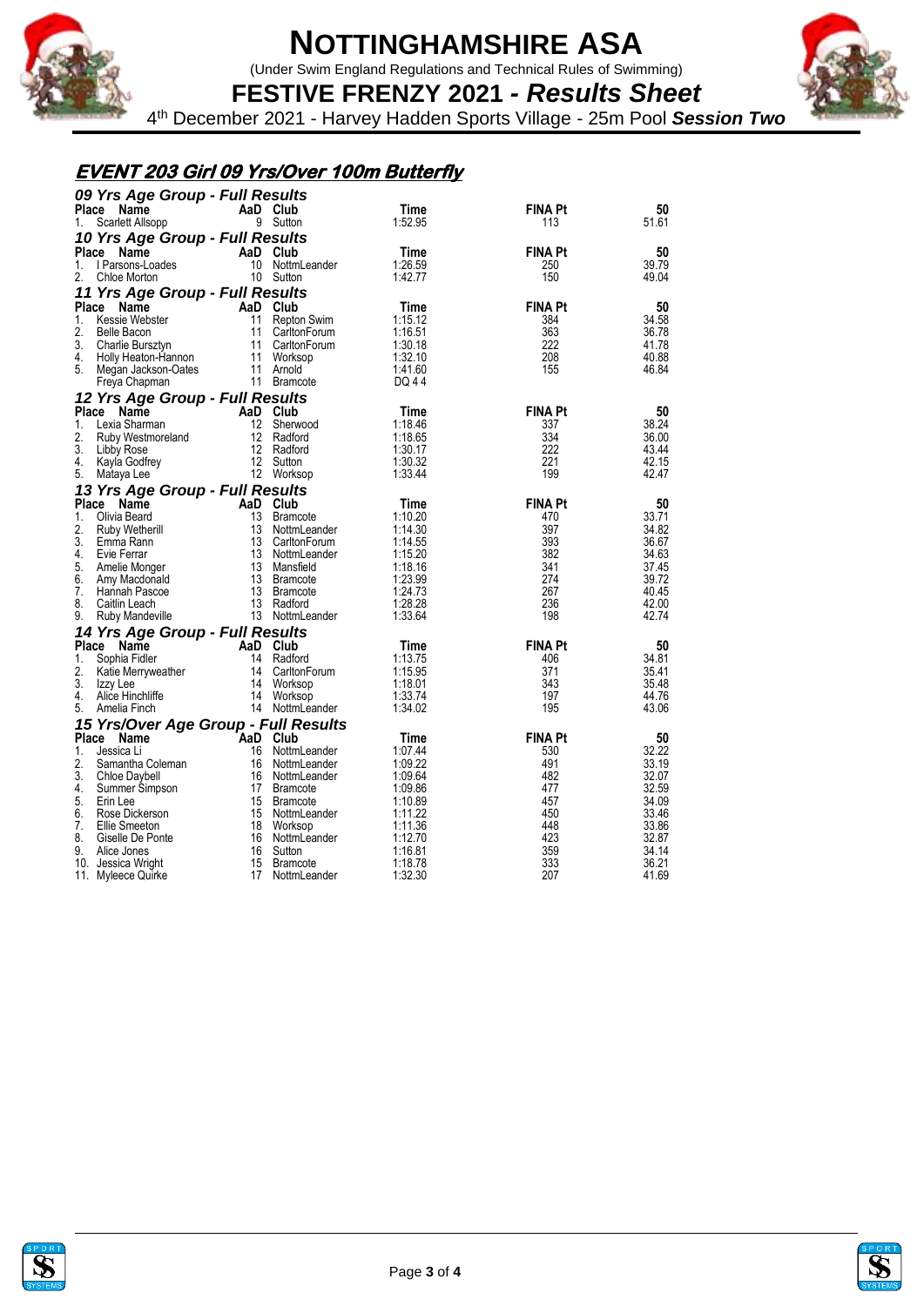

(Under Swim England Regulations and Technical Rules of Swimming)



**FESTIVE FRENZY 2021** *- Results Sheet* 4 th December 2021 - Harvey Hadden Sports Village - 25m Pool *Session Two*

#### **EVENT 203 Girl 09 Yrs/Over 100m Butterfly**

| 09 Yrs Age Group - Full Results               |          |                              |                    |                |                |
|-----------------------------------------------|----------|------------------------------|--------------------|----------------|----------------|
| <b>Place</b><br>Name                          | AaD Club |                              | Time               | <b>FINA Pt</b> | 50             |
| Scarlett Allsopp<br>1.                        |          | 9 Sutton                     | 1:52.95            | 113            | 51.61          |
| 10 Yrs Age Group - Full Results               |          |                              |                    |                |                |
| Place Name                                    | AaD      | Club                         | Time               | <b>FINA Pt</b> | 50             |
| 1.<br>I Parsons-Loades                        |          | 10 NottmLeander              | 1:26.59            | 250            | 39.79          |
| 2.<br>Chloe Morton                            |          | 10 Sutton                    | 1:42.77            | 150            | 49.04          |
| 11 Yrs Age Group - Full Results               |          |                              |                    |                |                |
| <b>Place</b><br>Name                          | AaD Club |                              | Time               | <b>FINA Pt</b> | 50             |
| 1.<br>Kessie Webster                          | 11       | Repton Swim                  | 1:15.12            | 384            | 34.58          |
| 2.<br><b>Belle Bacon</b>                      |          | 11 CarltonForum              | 1:16.51            | 363            | 36.78          |
| 3.<br>Charlie Bursztyn                        |          | 11 CarltonForum              | 1:30.18            | 222            | 41.78          |
| 4.<br>Holly Heaton-Hannon<br>5.               | 11       | Worksop                      | 1:32.10<br>1:41.60 | 208<br>155     | 40.88<br>46.84 |
| Megan Jackson-Oates<br>Freya Chapman          |          | 11 Arnold<br>11 Bramcote     | DQ 44              |                |                |
|                                               |          |                              |                    |                |                |
| 12 Yrs Age Group - Full Results<br>Place Name | AaD Club |                              | Time               | <b>FINA Pt</b> | 50             |
| 1.<br>Lexia Sharman                           |          | 12 Sherwood                  | 1:18.46            | 337            | 38.24          |
| 2.<br>Ruby Westmoreland                       |          | 12 Radford                   | 1:18.65            | 334            | 36.00          |
| 3.<br>Libby Rose                              |          | 12 Radford                   | 1:30.17            | 222            | 43.44          |
| 4.<br>Kayla Godfrey                           |          | 12 Sutton                    | 1:30.32            | 221            | 42.15          |
| 5.<br>Mataya Lee                              |          | 12 Worksop                   | 1:33.44            | 199            | 42.47          |
| 13 Yrs Age Group - Full Results               |          |                              |                    |                |                |
| Place Name                                    | AaD Club |                              | Time               | <b>FINA Pt</b> | 50             |
| 1.<br>Olivia Beard                            | 13       | <b>Bramcote</b>              | 1:10.20            | 470            | 33.71          |
| 2.<br>Ruby Wetherill                          | 13       | NottmLeander                 | 1:14.30            | 397            | 34.82          |
| 3.<br>Emma Rann                               |          | 13 CarltonForum              | 1:14.55            | 393            | 36.67          |
| 4.<br>Evie Ferrar                             |          | 13 NottmLeander              | 1:15.20            | 382            | 34.63          |
| 5.<br>Amelie Monger<br>6.                     |          | 13 Mansfield<br>13 Bramcote  | 1:18.16<br>1:23.99 | 341<br>274     | 37.45<br>39.72 |
| Amy Macdonald<br>7.<br>Hannah Pascoe          |          | 13 Bramcote                  | 1:24.73            | 267            | 40.45          |
| 8.<br>Caitlin Leach                           |          | 13 Radford                   | 1:28.28            | 236            | 42.00          |
| 9.<br>Ruby Mandeville                         |          | 13 NottmLeander              | 1:33.64            | 198            | 42.74          |
| 14 Yrs Age Group - Full Results               |          |                              |                    |                |                |
| Place<br>Name                                 | AaD Club |                              | Time               | <b>FINA Pt</b> | 50             |
| Sophia Fidler<br>1.                           |          | 14 Radford                   | 1:13.75            | 406            | 34.81          |
| 2.<br>Katie Merryweather                      |          | 14 CarltonForum              | 1:15.95            | 371            | 35.41          |
| 3.<br>Izzy Lee                                | 14       | Worksop                      | 1:18.01            | 343            | 35.48          |
| Alice Hinchliffe<br>4.                        |          | 14 Worksop                   | 1:33.74            | 197            | 44.76          |
| 5.<br>Amelia Finch                            |          | 14 NottmLeander              | 1:34.02            | 195            | 43.06          |
| 15 Yrs/Over Age Group - Full Results          |          |                              |                    |                |                |
| Place Name                                    | AaD Club |                              | Time               | <b>FINA Pt</b> | 50             |
| 1.<br>Jessica Li<br>2.                        | 16<br>16 | NottmLeander                 | 1:07.44            | 530<br>491     | 32.22          |
| Samantha Coleman<br>3.<br>Chloe Daybell       | 16       | NottmLeander<br>NottmLeander | 1:09.22<br>1:09.64 | 482            | 33.19<br>32.07 |
| 4.<br>Summer Simpson                          | 17       | <b>Bramcote</b>              | 1:09.86            | 477            | 32.59          |
| 5.<br>Erin Lee                                |          | 15 Bramcote                  | 1:10.89            | 457            | 34.09          |
| 6.<br>Rose Dickerson                          | 15       | NottmLeander                 | 1:11.22            | 450            | 33.46          |
| 7.<br>Ellie Smeeton                           | 18       | Worksop                      | 1:11.36            | 448            | 33.86          |
| 8.<br>Giselle De Ponte                        | 16       | NottmLeander                 | 1:12.70            | 423            | 32.87          |
| 9.<br>Alice Jones                             | 16       | Sutton                       | 1:16.81            | 359            | 34.14          |
| 10. Jessica Wright                            | 15       | <b>Bramcote</b>              | 1:18.78            | 333            | 36.21          |
| 11. Myleece Quirke                            | 17       | NottmLeander                 | 1:32.30            | 207            | 41.69          |